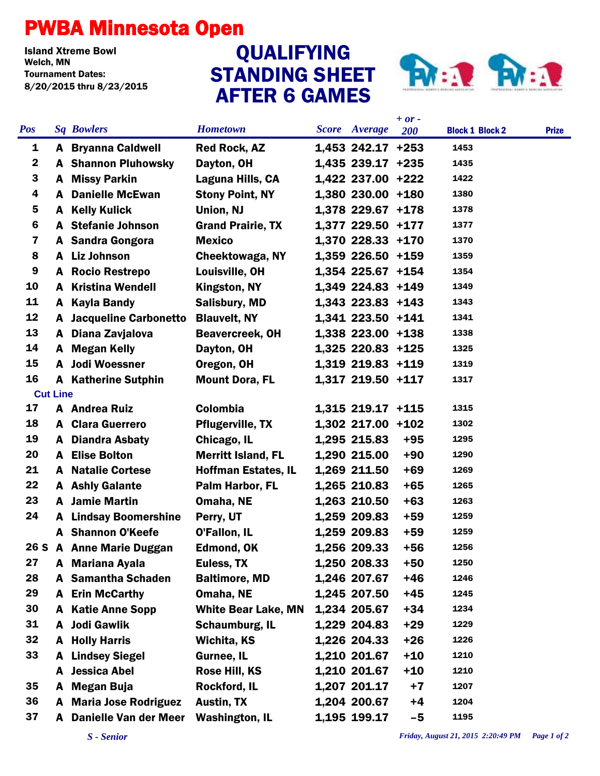## PWBA Minnesota Open

Island Xtreme Bowl Tournament Dates: 8/20/2015 thru 8/23/2015

## AFTER 6 GAMES QUALIFYING



|             |                 |                                |                            |                      | $+ or -$ |                        |              |
|-------------|-----------------|--------------------------------|----------------------------|----------------------|----------|------------------------|--------------|
| <b>Pos</b>  |                 | <b>Sq Bowlers</b>              | <b>Hometown</b>            | <b>Score</b> Average | 200      | <b>Block 1 Block 2</b> | <b>Prize</b> |
| 1           |                 | <b>A</b> Bryanna Caldwell      | <b>Red Rock, AZ</b>        | $1,453$ 242.17 +253  |          | 1453                   |              |
| $\mathbf 2$ |                 | <b>A</b> Shannon Pluhowsky     | Dayton, OH                 | 1,435 239.17 +235    |          | 1435                   |              |
| 3           |                 | A Missy Parkin                 | Laguna Hills, CA           | 1,422 237.00 +222    |          | 1422                   |              |
| 4           | A               | <b>Danielle McEwan</b>         | <b>Stony Point, NY</b>     | 1,380 230.00 +180    |          | 1380                   |              |
| 5           | A               | <b>Kelly Kulick</b>            | Union, NJ                  | 1,378 229.67 +178    |          | 1378                   |              |
| 6           |                 | <b>A</b> Stefanie Johnson      | <b>Grand Prairie, TX</b>   | 1,377 229.50 +177    |          | 1377                   |              |
| 7           |                 | A Sandra Gongora               | <b>Mexico</b>              | 1,370 228.33 +170    |          | 1370                   |              |
| 8           |                 | A Liz Johnson                  | Cheektowaga, NY            | 1,359 226.50 +159    |          | 1359                   |              |
| 9           |                 | <b>A</b> Rocio Restrepo        | Louisville, OH             | 1,354 225.67 +154    |          | 1354                   |              |
| 10          | A               | <b>Kristina Wendell</b>        | Kingston, NY               | 1,349 224.83 +149    |          | 1349                   |              |
| 11          | A               | <b>Kayla Bandy</b>             | <b>Salisbury, MD</b>       | 1,343 223.83 +143    |          | 1343                   |              |
| 12          |                 | <b>A</b> Jacqueline Carbonetto | <b>Blauvelt, NY</b>        | 1,341 223.50 +141    |          | 1341                   |              |
| 13          |                 | A Diana Zavjalova              | <b>Beavercreek, OH</b>     | 1,338 223.00 +138    |          | 1338                   |              |
| 14          |                 | A Megan Kelly                  | Dayton, OH                 | 1,325 220.83 +125    |          | 1325                   |              |
| 15          |                 | A Jodi Woessner                | Oregon, OH                 | 1,319 219.83 +119    |          | 1319                   |              |
| 16          |                 | <b>A</b> Katherine Sutphin     | <b>Mount Dora, FL</b>      | 1,317 219.50 +117    |          | 1317                   |              |
|             | <b>Cut Line</b> |                                |                            |                      |          |                        |              |
| 17          |                 | A Andrea Ruiz                  | Colombia                   | 1,315 219.17 +115    |          | 1315                   |              |
| 18          |                 | <b>A</b> Clara Guerrero        | <b>Pflugerville, TX</b>    | $1,302$ 217.00 +102  |          | 1302                   |              |
| 19          |                 | <b>A</b> Diandra Asbaty        | Chicago, IL                | 1,295 215.83         | $+95$    | 1295                   |              |
| 20          |                 | <b>A</b> Elise Bolton          | <b>Merritt Island, FL</b>  | 1,290 215.00         | $+90$    | 1290                   |              |
| 21          |                 | <b>A</b> Natalie Cortese       | <b>Hoffman Estates, IL</b> | 1,269 211.50         | $+69$    | 1269                   |              |
| 22          |                 | <b>A</b> Ashly Galante         | Palm Harbor, FL            | 1,265 210.83         | $+65$    | 1265                   |              |
| 23          |                 | <b>A</b> Jamie Martin          | Omaha, NE                  | 1,263 210.50         | $+63$    | 1263                   |              |
| 24          |                 | <b>A</b> Lindsay Boomershine   | Perry, UT                  | 1,259 209.83         | $+59$    | 1259                   |              |
|             |                 | <b>A</b> Shannon O'Keefe       | O'Fallon, IL               | 1,259 209.83         | $+59$    | 1259                   |              |
| 26 S        |                 | <b>A</b> Anne Marie Duggan     | <b>Edmond, OK</b>          | 1,256 209.33         | $+56$    | 1256                   |              |
| 27          |                 | A Mariana Ayala                | Euless, TX                 | 1,250 208.33         | $+50$    | 1250                   |              |
| 28          | A               | <b>Samantha Schaden</b>        | <b>Baltimore, MD</b>       | 1,246 207.67         | $+46$    | 1246                   |              |
| 29          | A               | <b>Erin McCarthy</b>           | Omaha, NE                  | 1,245 207.50         | $+45$    | 1245                   |              |
| 30          | A               | <b>Katie Anne Sopp</b>         | <b>White Bear Lake, MN</b> | 1,234 205.67         | $+34$    | 1234                   |              |
| 31          | A               | <b>Jodi Gawlik</b>             | Schaumburg, IL             | 1,229 204.83         | $+29$    | 1229                   |              |
| 32          | A               | <b>Holly Harris</b>            | Wichita, KS                | 1,226 204.33         | $+26$    | 1226                   |              |
| 33          | A               | <b>Lindsey Siegel</b>          | Gurnee, IL                 | 1,210 201.67         | $+10$    | 1210                   |              |
|             | A               | <b>Jessica Abel</b>            | Rose Hill, KS              | 1,210 201.67         | $+10$    | 1210                   |              |
| 35          | A               | <b>Megan Buja</b>              | Rockford, IL               | 1,207 201.17         | $+7$     | 1207                   |              |
| 36          |                 | <b>A</b> Maria Jose Rodriguez  | Austin, TX                 | 1,204 200.67         | $+4$     | 1204                   |              |
| 37          | A               | Danielle Van der Meer          | <b>Washington, IL</b>      | 1,195 199.17         | $-5$     | 1195                   |              |